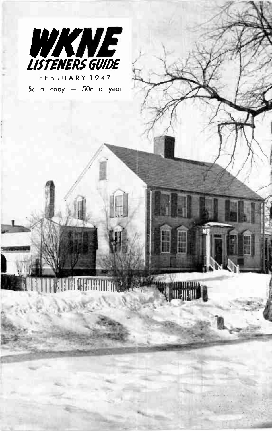

FEBR U ARY 1947 5c a copy — 50c a year

le-^ree•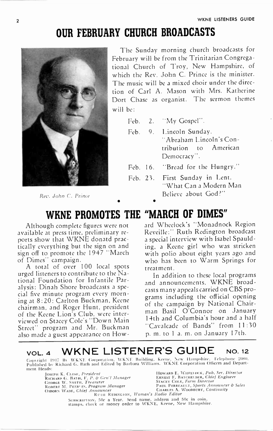# OUR FEBRUARY CHURCH BROADCASTS



Rev. John C. Prince

The Sunday morning church broadcasts for February will be from the Trinitarian Congregational Church of Troy, New Hampshire, of which the Rev. John C. Prince is the minister. The music will be a mixed choir under the direction of Carl A. Mason with Mrs. Katherine Dort Chase as organist. The sermon themes will be:

- Feb. 2. "My Gospel".
- Feb. 9. Lincoln Sunday. "Abraham Lincoln's Contribution to American Democracy".
- Feb. 16. "Bread for the Hungry."
- Feb. 23. First Sunday in Lent. "What Can a Modern Man Believe about God?"

# WKNE PROMOTES THE "MARCH OF DIMES"

•

Although complete figures were not available at press time, preliminary reports show that WKNE donatd practically everything but the sign on and sign off to promote the 1947 "March of Dimes" campaign.

A total of over 100 local spots urged listeners to contribute to the National Foundation for Infantile Paralysis: Dinah Shore broadcasts a special five minute program every morning at 8:20: Carlton Buckman, Keene chairman, and Roger Hunt, president of the Keene Lion's Club, were interviewed on Stacey Cole's Down Main Street" program and Mr. Buckman also made a guest appearance on Howard Wheelock's "Monadnock Region Reveille:" Ruth Redington broadcast a special interview with Isabel Spaulding, a Keene girl who was stricken with polio about eight years ago and who has been to Warm Springs for treatment.

In addition to these local programs and announcements, W KNE broadcasts many appeals carried on CBS programs including the oficial opening of the campaign by National Chairman Basil O'Connor on January 14th and Columbia's hour and a half "Cavalcade of Bands" from 11:30 p. m. to 1 a. m. on January 17th.

## VOL. 4 WKNE LISTENER'S GUIDE NO. 12

Copyright 1947 By WKNE Corporation, WKNE Building, Keene, New Hampshire, Telephone 2080.<br>Published by Richard G. Bath and Edited by Barbara Williams. WKNE Corporation Officers and Department Heads:

RICHARD G. BA 1-1, I'. P. dr Gen'l Manager ERNEST F. BATCHELDER, Chief Engineer GEORGE W. SMITH, Treasurer STACEY COLE, Farm Director OSBORN WADE, Chief Announcer RUTH REDINGTON, Woman's Radio Editor

under K. Close, President († 1888)<br>1965 - Howard E. Barn, J. P. & Genil Manager († 1886), Ethelsen, Chief Engineer<br>1966 - Close W. Suitu, *Treasure*r († 1886), Stacky Colk, *Farm Director ROBERT M. PEER ES. Program Manager* PAUL PERREAULT, Sports Announcer & Sales<br>ROBERT M. PEER ES. Program Manager **Paul Perreau Charles A. Woodbury, Continuity** 

SUBSCRIPTION, 50c a Year. Send name, address and 50c in coin, stamps, check or money order to WKNE, Keene, New Hampshire.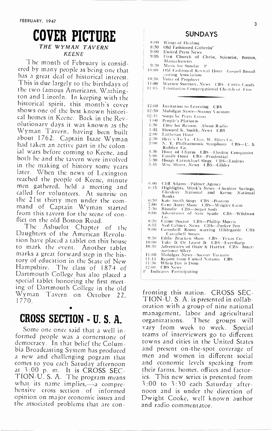### COVER PICTURE THE WYMAN TAVERN KEENE

The month of February is considered by many people as being one that has a great deal of historical interest. This is due largely to the birthdays of the two famous Americans, Washington and Lincoln. In keeping with the historical spirit, this month's cover shows one of the best known historical homes in Keene. Back in the Revolutionary days it was known as the Wyman Tavern, having been built about 1762. Captain Isaac Wyman had taken an active part in the colonial wars before coming to Keene, and both he and the tavern were involved in the making of history some years later. When the news of Lexington reached the people of Keene, minute men gathered, held a meeting and called for volunteers. At sunrise on the 21st thirty men under the command of Captain Wyman started from this tavern for the scene of conflict on the old Boston Road.

The Ashuelot Chapter of the Daughters of the American Revolution have placcd a tablet on this house to mark the event. Another tablet marks a great forward step in the history of education in the State of New Hampshire. The class of 1874 of Dartmouth College has also placed a special tablet honoring the first meeting of Dartmouth College in the old Wyman Tavern on October 22,  $1770.$ 

# CROSS SECTION - II S. A.

Some one once said that a well informed people was a cornerstone of democracy. In that belief the Columbia Broadcasting System has produced a new and challenging pogram that comes to you each Satuday afternoon at 3:00 p. m. It is CROSS SEC-TION-U. S. A. The program means what its name implies,—a comprehensive cross section of informed opinion on major economic issues and the associated problems that are con-

#### SUNDAYS

| 8:00  | Wings of Healing                           |
|-------|--------------------------------------------|
| 8:30  | Old Fashioned Githerin'                    |
| 9:00  | <b>United Press News</b>                   |
| 9:05  | First Church of Christ, Scientist, Boston, |
|       | Massachusetts                              |
| 9:30  | Music for Sunday P                         |
| 10:00 | Old Fashioned Revival Hour-Gospel Broad-   |
|       | casting Association                        |
| 10:30 | Voice of Prophecy                          |
| 11:00 | Warren Sweeney, News CBS-Curris Candy      |
| 11:05 | Trinitarian Congregational Church of Troy  |

- 12:00 Invitation to Learning CBS
- 12:30 Mobilgas News—Socony Vacu 12:15
- 1:00 Songs by l'erry Como
- People's Platlorm
- 1:30 1:45 Time for Reason —About Radio
- 2:00 Howard K. Smith, News CBS
- 2:30 Lutheran Hour
- 3:00 Herc's To Ya --Chas. W. Hires Co.<br>N. Y. Philharmonic Symphony --CBS—U. S.
- 4:30 Rubber Co.
- 5:0U Hour of Charm - CBS—Electric Companies<br>Family Hour - CBS—Prudential<br>Hoagy Carmichael Sings - CBS—Ludens
- 5:30
- 5:45 'Vin. Shirer, News CBS —Glider
- 
- 
- 6:00 Clif Adams —Pahner Agency 6:15 Highlights, Week's News —Cheshire Savings, Cheshire National and Keene National Banks
- 6:30 | Kate Smith Sings | CBS—Postum<br>7:00 | Gene Autry Show | CBS—Wrigley Gum<br>7:30 | Blondie | CBS—Super Suds
- 
- 8:00 Adventures of Sam Spade CBS-Wildroot
- Co.
- 8:30 Crime Doctor CBS —Phillip Morris 8:55 Ned Calmer, News CBS —Parker Pen
- 9:00 Campbell Room starring Hildegarde CBS Campbell Soups
- 
- 9:30 Eddie Bracken Show CBS —Texas Co. 10:00 Take It Or Leave It CBS —Eversharp 10:30 Adventures of Ozzie & Harriet CBS —Inter-
- national Silver
- 11:00 Mobilgas News-Socony Vacuum<br>11:15 Report from United Nations Cl
- 1:15 Report from United Nations CBS When Day is Done
- 12:00 CBS News
- 1' Indicates l'articipating

fronting this nation. CROSS SEC-TION-U. S. A. is presented in collaboration with a group of nine national management, labor and agricultural organizations. These groups will vary from week to week. Special teams of interviewers go to diferent towns and cities in the United States and present on-the-spot coverage of men and women in diferent social and economic levels speaking from their farms, homes, ofices and factories. This new series is presented from 3:00 to 3:30 each Saturday afternoon and is under the direction of Dwight Cooke, well known author and radio commentator.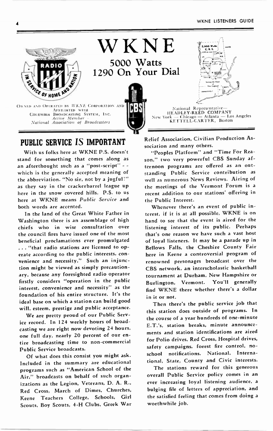

### PUBLIC SERVICE IS IMPORTANT

With us folks here at WKNE P.S. doesn't stand for something that comes along as an afterthought such as a "post-script" - which is the generally accepted meaning of the abbreviation. "No sir, not by a jugful!" as they say in the crackerbarrel league up here in the snow covered hills. P.S. to us here at WKNE means Public Service and both words are accented.

In the land of the Great White Father in Washington there is an assemblage of high chiefs who in wise consultation over the council fires have issued one of the most beneficial proclamations ever promulgated .. "that radio stations are licensed to operate according to the public interests, convenience and necessity." Such an injunction might be viewed as simply precautionary, because any foresighted radio operator firstly considers "operation in the public interest, convenience and necessity" as the foundation of his entire structure. It's the ideal base on which a station can build good will, esteem, prestige and public acceptance.

We are pretty proud of our Public Service record. In 124 weekly hours of broadcasting we are right now devoting 24 hours, one full day, nearly 20 percent of our entire broadcasting time to non-commercial Public Service broadcasts.

Of what does this consist you might ask. Included in the summary are educational programs such as "American School of the Air," broadcasts on behalf of such organizations as the Legion, Veterans, D. A. R., Red Cross, March of Dimes, Churches, Keene Teachers College, Schools, Girl Scouts, Boy Scouts, 4-H Clubs, Greek War Relief Association, Civilian Production Association and many others.

"Peoples Platform" and "Time For Reason," two very powerful CBS Sunday afternoon programs are ofered as an outstanding Public Service contribution as well as numerous News Reviews. Airing of the meetings of the Vermont Forum is a recent addition to our stations' ofering in the Public Interest.

Whenever there's an event of public interest, if it is at all possible, W KNE is on hand to see that the event is aired for the listening interest of its public. Perhaps that's one reason we have such a vast host of loyal listeners. It may be a parade up in Bellows Falls, the Cheshire County Fair here in Keene a controversial program of renowned personages broadcast over the CBS network, an interscholastic basketball tournament at Durham, New Hampshire or Burlington, Vermont. You'll generally find WKNE there whether there's a dollar in it or not.

Then there's the public service job that this station does outside of programs. In the course of a year hundreds of one-minute E.T.'s, station breaks, minute announcements and station identifications are aired for Polio drives, Red Cross, Hospital drives, safety campaigns, forest fire control, noschool notifications, National, International, State, County and Civic interests.

The stations reward for this generous overall Public Service policy comes in an ever increasing loyal listening audience, a bulging file of letters of appreciation, and the satisfied feeling that comes from doing a worthwhile job.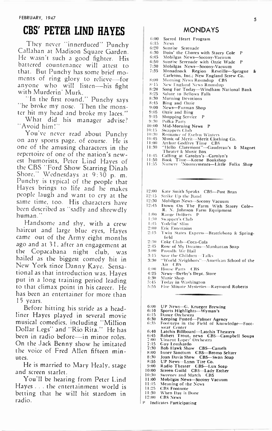# CBS' PETER LIND HAYES

They never "innerduced" Punchy Callahan at Madison Square Garden. He wasn't such a good fighter. His battered countenance will attest to that. But Punchy has some brief moments of ring glory to relieve-for anyone who will listen-his fight with Murderin' Murk.

"In the first round," Punchy says he broke my nose. Then the monster hit my head and broke my laces."

What did his manager advise? "Avoid him!"

You've never read about Punchy on any sports page, of course. He is one of the amusing characters in the repertoire of one of the nation's newest humorists, Peter Lind Hayes of the CBS "Ford Show Starring Dinah Shore," Wednesdays at 9:30 p. m. Punchy is typical of the people that Hayes brings to life and he makes people laugh and want to cry at the same time, too. His characters have been described as "sadly and shrewdly human."

Handsome and shy, with a crew haircut and large blue eyes, Hayes came out of the Army eight months ago and at 31, after an engagement at the Copacabana night club, was hailed as the biggest comedy hit in New York since Danny Kaye. Sensational as that introduction was, Hayes put in a long training period leading to that climax point in his career. He has been an entertainer for more than 15 years.

Before hitting his stride as a headliner Hayes played in several movie musical comedies, including "Million Dollar Legs" and "Rio Rita." He has been in radio before-in minor roles. On the Jack Benny show he imitated the voice of Fred Allen fifteen minutes.

He is married to Mary Healy, stage and screen starlet.

You'll be hearing from Peter Lind Hayes . . the entertainment world is betting that he will hit stardom in radio.

#### **MONDAYS**

- 6:00 Sacred Heart Program 6:15 News<br>6:20 Sunri
- 6:20 Sunrise Serenade
- 6:30 Doin' the Chores with Stacey Cole P<br>6:45 Mobileas News-Socony-Vacuum
- 6:45 Mobilgas News-Socony-Vacuum<br>6:50 Sunrise Serenade with Ozzie Wac
- 6:50 Sunrise Serenade with Ozzie Wade P
- 7:30 Mobilgas News-Socony-Vacuum<br>7:35 Monadnock Region Reveille-
- Monadnock Region Reveille-Sprague & Carleton. Inc.; New England Screw Co.
- 8:00 Morning News Roundup CBS<br>8:15 New England News Roundup
- 8:15 New England News Roundup<br>8:20 Song For Today—Windham N
- 8:20 Song For Today—Windham National Bank<br>8:25 Salute to Bellows Falls
- 8:25 Salute to Bellows Falls<br>8:30 Morning Devotions
- 8:30 Morning Devotions
- 8:45 Bing and Ozzie<br>9:00 News-Eurman
- 9:00 News-Furman Shop<br>9:05 Ozzie and Bing
- 9:05 Ozzie and Bing<br>9:15 Shopping Servic
- 9:15 Shopping Service P<br>9:30 Polka Party
- 9:30 Polka Party<br>10:00 Mid-Morni
- 10:00 Mid- Morning News P
- 10:15 Swappers Club<br>10:30 Romance of Fi
- 
- 
- 
- 11:30 Romance of Evelyn Winters 10:45 Music of Merit Merit Clothing Co. 1:00 Arthur Godfrey Time CBS 1:30 "Hello Claremont" —Gaudreati's & Magnet
- Theater & Music Box 1:45 Calling at Carolyn's —Carolyn's 1:50 Book Time —Keene Bookshop
- 
- 1:55 Nursery 'Nouncements —Little Folks Shop
- 12:00 Kate Smith Speaks CBS-Post Bran
- 12:15 Strike Up the Band
- 12:30 Mobilgas News-Socony Vacuum
- 12:45 Down On The Farm With Stacey Cole— R. N. Johnson Farm Equipment
- I:00 Range Drifters P
- 1:30 Swapper's Club
- 1:45 Yodelin' Slim
- 2:00 Eric Entertains
- 2:15 Twin States Express-Brattleboro & Springfield
- 2:30 Coke Club-Coca-Cola
- 2:45 Rose of My Dreams-Manhattan Soap
- 3:00 Proudly We Hail
- 3:15 Save the Children —Talks
- 3:30 "World Neighbors" —American School of the Air CBS
- 4:00 House Party (CBS
- 4:25 News-Derby's Dept. Store
- 4:30 5:45 N1usic Shop
- 5:55 Today in Washington Five Minute Mysteries-Raymond Roberts
- 
- 6:00 UP News —G. Krueger Brewing 6:10 Sports Highlights Wyman's
- 6:15 Dance Orchestra<br>6:30 Keeping Posted—
- 
- 6:30 Keeping Posted —Palmer Agency 6:35 Footsteps in the Field of Knowledge —Foot-
- wear Center
- 6:40 Latchis Billboard —Latchis Theaters 6:45 Robert Trout. news CBS —Campbell Soups 7:00 Vincent Lopez' Orchestra
- 
- 7:15 Guy Lombardo<br>7:30 Bob Hawk Shov
- 7:30 Bob Hawk Show CBS-Camels<br>8:00 Inner Sanctum CBS-Bromo S
- 8:00 Inner Sanctum CBS—Bromo Seltzer<br>8:30 Ioan Davis Show CBS—Swan Soap
- 8:30 Joan Davis Show CBS —Swan Soap 8:55 UP News —Lynn Tire Co. 9:00 Radio Theater CBS —Lux Soap 10:00 Screen Guild CBS —Lady Esther
- 
- 
- 
- 10:30 Sweeney and March CBS<br>11:00 Mobilgas News-Socony V
- 11:00 Mobilgas News-Socony Vacuum<br>11:15 Meaning of the News
- 11:15 Meaning of the News<br>11:25 CBS Footnote
- 11:25 CBS Footnote<br>11:30 When Day is When Day is Done
- 12:00 CBS News
- P Indicates Participating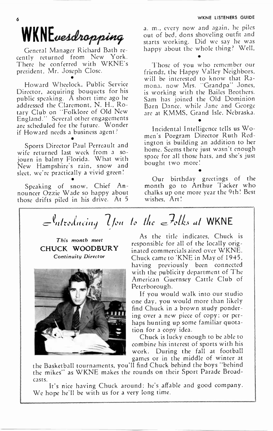# WKNEwesdropping

General Manager Richard Bath recently returned from New York. There he conferred with WKNE's president, Mr. Joseph Close. •

Howard Wheelock, Public Service Director, acquiring bouquets for his public speaking. A short time ago he addressed the Claremont, N. H., Rotary Club on "Folklore of Old New England." Several other engagements are scheduled for the future. Wonder if Howard needs a business agent? •

Sports Director Paul Perreault and wife returned last week from a sojourn in balmy Florida. What with New Hampshire's rain, snow and sleet, we're practically a vivid green! •

Speaking of snow, Chief Announcer Ozzie Wade so happy about those drifts piled in his drive. At 5

a. m., every now and again, he piles out of bed, dons shoveling outfit and starts working. Did we say he was happy about the whole thing? Well,

Those of you who remember our friends, the Happy Valley Neighbors, will be interested to know that Ramona, now Mrs. "Grandpa" Jones, is working with the Bailes Brothers. Sam has joined the Old Dominion Barn Dance, while Jane and George are at KM MS, Grand Isle, Nebraska.

Incidental Intelligence tells us Women's Porgram Director Ruth Redington is building an addition to her home. Seems there just wasn't enough space for all those hats, and she's just bought two more!

Our birthday greetings of the month go to Arthur Tacker who chalks up one more year the 9th' Best wishes, Art!

•

# $\mathcal{U}$  fou to the  $\epsilon$  -tolks at WKNE

This month meet CHUCK WOODBURY Continuity Director



As the title indicates, Chuck is responsible for all of the locally originated commercials aired over W KNE. Chuck came to 'KNE in May of 1945, having previously been connected with the publicity department of The American Guernsey Cattle Club of Peterborough.

If you would walk into our studio one day, you would more than likely find Chuck in a brown study pondering over a new piece of copy; or perhaps hunting up some familiar quotation for a copy idea.

Chuck is lucky enough to be able to combine his interest of sports with his work. During the fall at football games or in the middle of winter at

the Basketball tournaments, you'll find Chuck behind the boys "behind the mikes" as WKNE makes the rounds on their Sport Parade Broadcasts.

It's nice having Chuck around; he's afable and good company. We hope he'll be with us for a very long time.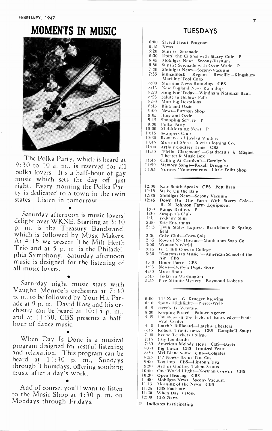# MOMENTS IN MUSIC



The Polka Party, which is heard at 9:30 to 10 a. m., is reserved for all polka lovers. It's a half-hour of gay music which sets the day of just right. Every morning the Polka Party is dedicated to a town in the twin states. Listen in tomorrow.

Saturday afternoon is music lovers' delight over WKNE. Starting at 3:30 p. m. is the Treasury Bandstand, which is followed by Music Makers. At 4:15 we present The Milt Herth Trio and at 5 p. m. is the Philadelphia Symphony. Saturday afternoon music is designed for the listening of all music lovers.

Saturday night music stars with Vaughn Monroe's orchestra at 7:30 p. m. to be followed by Your Hit Parade at 9 p. m. David Rose and his orchestra can be heard at 10:15 p. m., and at 11:30, CBS presents a halfhour of dance music.

When Day Is Done is a musical program designed for restful listening and relaxation. This program can be heard at 11:30 p. m., Sundays through Thursdays, ofering soothing music after a day's work.

•

And of course, you'll want to listen to the Music Shop at 4:30 p. m. on Mondays through Fridays.

### TUESDAYS

- 6:00 Sacred Heart Program
- $6:15$  News<br> $6:20$  Sunri
- 6:20 Sunrise Serenade
- 6:30 Doin' the Chores with Stacey Cole P<br>6:45 Mobilgas News--Socony-Vacuum
- 6:45 Mobilgas News--Socony-Vacuum<br>6:50 Sunrise Serenade with Ozzie Wad
- 6:50 Sunrise Serenade with Ozzie Wade<br>7:30 Mobilgas News-Socony-Vacuum
- 7:30 Mobilgas News-Socony-Vacuum<br>7:35 Monadnock Region Reveille
- Monadnock Region Reveille-Kingsbury Machine Tool Corp
- 8:00 Morning News Roundup CBS<br>8:15 New England News Roundup
- 8:15 New England News Roundup<br>8:20 Song For Today—Windham N
- 8:20 Song For Today—Windham National Bank<br>8:25 Salute to Bellows Falls
- 8:25 Salute to Bellows Falls<br>8:30 Morning Devotions
- 8:30 Morning Devotions<br>8:45 Bing and Ozzie
- 8:45 Bing and Ozzie<br>9:00 News-Furman
- 9:00 News-Furman Shop<br>9:05 Bing and Ozzie
- 9:05 Bing and Ozzie<br>9:15 Shooping Servi
- 9:15 Shopping Service P<br>9:30 Polka Party
- 9:30 Polka Party<br>10:00 Mid-Mornir
- 10:00 Mid-Morning News P<br>10:15 Swanners Club
- 10:15 Swappers Club<br>10:30 Romance of Ex
- 10:30 Romance of Evelyn Winters<br>10:45 Music of Merit-Merit Cloth
- 10:45 Music of Merit—Merit Clothing Co.<br>11:00 Arthur Godfrey Time CBS
- 11:00 Arthur Godfrey Time CBS
- 1:30 "Hello Claremont" —Gaudreau's & Magnet Theater & Music Box
- 11:45 Calling At Carolyn's—Carolyn's<br>11:50 Memory Songs—Rexall Druggist
- 11:50 Memory Songs—Rexall Druggists<br>11:55 Nursery 'Nouncements—Little Folks Shop
- 
- 12:00 Kate Smith Speaks CBS-Post Bran<br>12:15 Strike Up the Band
- 12:15 Strike Up the Band<br>12:30 Mobilgas News-So
- 
- 12:30 Mobilgas News—Socony Vacuum<br>12:45 Down On The Farm With Stacey Cole~ R. N. Johnson Farm Equipment
- 1:00 Range Drifters P<br>1:30 Swanner's Club
- 1:30 Swapper's Club
- 1:45 Yodelin' Slim<br>2:00 Eric Entertair
- 2:00 Eric Entertains
- 2:15 Twin States Express. Brattleboro & Springfield
- 2:30 Coke Club-Coca-Cola<br>2:45 Rose of My Dreams-N 2:45 Rose of My Dreams-Manhattan Soap Co.<br>3:00 Woman's World
- 
- 3:00 Woman's World
- 3:15 G. I. Bill Goes to College<br>3:30 Cateways to Music"-- An 3:30 "Gateways to Music" —American School of the Air CBS
- 4:00 House Party CBS<br>4:25 News-Derhy's Der
- 4:25 News-Derby's Dept. Store<br>4:30 Music Shop
- 4:30 Music Shop
- 
- 5:45 Today in Washington 5:55 Five Minute Mystery —Raymond Roberts
- 6:00 UP News —G. Krueger Brewing
- 6:10 Sports Highlights —Pierce- Wells
- 6:15 Here's To Veterans
- 6:30 Keeping Posted —Palmer Agency
- 6:15 Footsteps in the Field of Knowledge —Footwear Center
- 6:40 Latchis Billboard-Latchis Theaters
- 6:45 Robert Trout, news CBS-Campbell Soups
- 7:00 Keene Teachers College
- 7:15 7:30 Guy Lombardo
- American Melody Hour CBS-Bayer
- 8:00
- 8:30 Big Town CBS —Ironized Yeast Mel Blanc Show CBS —Colgates
- 8:55
- 9:00 UP News—Lynn Tire Co,<br>Vox Pop - CBS—Lipton's Tea<br>Arthur Godfrey Talent Scouts
- 9:30
- 10:00 One World Flight-Norman Corwin CBS
- 10:30
- 1:00 Open Hearing CBS Mobilgas News Socony Vacuum Meaning of the News CBS
- 1:15 1:25 CBS Footnote
- 1:30 'Vhen Day is Done
- 12:00 CBS News
- P Indicates Participating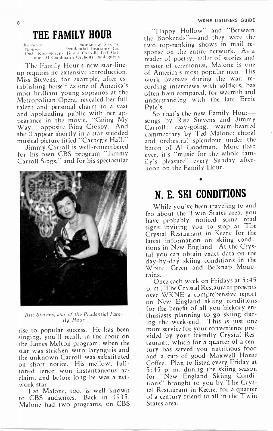#### WKNE LISTENERS GUIDE

# THE FAMILY HOUR

Firoadta31 Muni, Sponsor . Prudential Ir Cast Rise Stevens. Jur,rrri Carr.II. Ied Nlal. one, Al Goodman's Orchestra and guests

The Family Hour's new star-lineup requires no extensive introduction. Miss Stevens, for example, after establishing herself as one of America's most brilliant young sopranos at the Metropolitan Opera, revealed her full talent and personal charm to a vast and applauding public with her appearance in the movie, "Going My Way," opposite Bing Crosby. And she'll appear shortly in a star-studded musical picture titled "Carnegie Hall."

Jimmy Carroll is well-remembered for his own CBS program "Jimmy Carroll Sings," and for his spectacular



Rise Stevens, star of the Prudential Family Hour

rise to popular success. He has been singing, you'll recall, in the choir on the James Melton program, when the star was stricken with laryngitis and the unknown Carroll was substituted on short notice. His mellow, fulltoned tenor won instantaneous acclaim, and before long he was a network star.

Ted Malone, too, is well known to CBS audiences. Back in 1935, Malone had two programs, on CBS

-"Happy Hollow" and "Between the Bookends" —and they were the two top-ranking shows in mail response on the entire network. As a reader of poetry, teller of stories and master-of-ceremonies, Malone is one of America's most popular men. His work overseas during the war, recording interviews with soldiers, has often been compared, for warmth and understanding with the late Ernie Pyle's.

So that's the new Family Hoursongs by Rise Stevens and Jimmy Carroll: easy-going, warm-hearted commentary by Ted Malone: choral and orchestral splendour under the baton of Al Goodman. More than ever, it's "music for the whole family's pleasure" every Sunday afternoon on the Family Hour.

# N. E. SKI CONDITIONS

While you've been traveling to and fro about the Twin States area, you have probably noticed some road signs inviting you to stop at The Crystal Restaurant in Keene for the latest information on skiing conditions in New England. At the Crystal you can obtain exact data on the day-by-day skiing conditions in the White, Green and Belknap Mountains.

Once each week on Fridays at 5:45 p. m., The Crystal Restaurant presents over W KNE a comprehensive report on New England skiing conditions for the benefit of all you hickory enthusiasts planning to go skiing during the week-end. This is just one more service for your convenience provided by your friendly Crystal Restaurant, which for a quarter of a century has served you nutritious food and a cup of good Maxwell House Cofee. Plan to listen every Friday at 5:45 p. m. during the skiing season New England Skiing Conditions" brought to you by The Crystal Restaurant in Keene, for a quarter of a century friend to all in the Twin States area.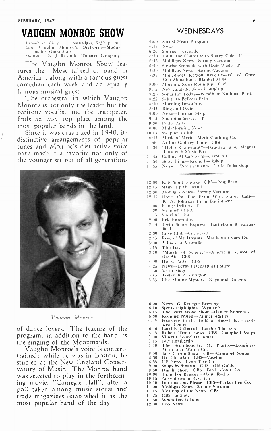#### EBRUARY, 1947 9

Ī  $\frac{1}{3}$ 

# VAUGHN MONROE SHOW

*Broadcast Time — S*aturdays, 7:30 p. m.<br>*Cast V*aughn Monroe's Orchestra—M**oo**n piripis. Guest Stars Sponsor R. J. Reynolds Tobacco Company

The Vaughn Monroe Show features the "Most talked of band in America'', along with a famous guest comedian each week and an equally famous musical guest.

The orchestra, in which Vaughn Monroe is not only the leader but the baritone vocalist and the trumpeter, finds an easy top place among the most popular bands in the land.

Since it was organized in 1940, its distinctive arrangements of popular tunes and Monroe's distinctive voice have made it a favorite not only of the younger set but of all generations



#### Vaughn Monroe

of dance lovers. The feature of the program, in addition to the band, is the singing of the Moonmaids.

Vaughn Monroe's voice is concerttrained: while he was in Boston, he studied at the New England Conservatory of Music. The Monroe band was selected to play in the forthcoming movie, "Carnegie Hall", after a poll taken among music stores and trade magazines established it as the most popular band of the day.

### WEDNESDAYS

- 6:00 Sacred Heart Program
- 6:15  $6.90$ News
- 6:30 Sunrise Serenade
- 6:45 Doin' the Chores with Stacey Cole P Mobilgas News-Socony-Vacuum
- Sunrise Serenade with Ozzie Wade P
- 6:50 7:30
- Mobilgas News —Soconv-Vacuum
- 7:35 Monadnock Region Reveille-W. W. Cross C:o.; Monadnock Blanket Mills
- 8:90 Morning News Roundup CBS
- 8:15 New England News Roundup
- $8.90$ Songs for Today-Windham National Bank
- 8:25 Salute to Bellows Falls
- 8:30 Morning Devotions
- 8:45 Bing and Ozzie
- 9:00 News —Furman Shop
- 9:15 Shopping Service P
- 9:30 Polka Party
- 19:011 Slid- Morning New.;
- I1:15 Swapper's Club
- 10:45 Music of Merit — Merit Clothing Co.
- I 1:00 Arthur Godfrey Time CBS
- 1:30 "Hello Claremont" —Gaudreau's & Magnet Theater & Music Box
- 1:45 Calling At Carolyn's —Carolyn's
- 1:511 Book Time —Keene Bookshop
- 1:55 Nursery 'Notincements —Little Folks Shop
- 12:00 Kate Smith Speaks CBS-Post Bran
- 12:15 Strike Up the Band
- 12:30 Mobilgas News —Socony Vacuum
- 12:45 Down On The Farm With Stacey Cole-R. N. Johnson Farm Equipment
- 1:00 Range Drifters P
- 130 Swapper's Club
- 1:45 Yodelin' Slim
- 2:00 Eric Entertains
- 2:15 Twin States Express, Brattleboro & Springfield
- 2:30 Coke Club —Coca-Cola
- 2:45 Rose of My Dreams — Manhattan Soap Co.
- 3:00 A Look at Australia
- 3:15 This Day
- 3:30 "March of Science" —American School of the Air CBS
- 4:00 House l'arty CBS
- 4:25 News —Derby's Department Store
- 4:30 Music Shop
- 5:45 Today in Washington
- 5:55 Five Minute Mystery —Raymond Roberts
- 6:00 News —G. Krueger Brewing
- 6:10 6:15
- 6:30 Sports Highlights — Wyman's The Barry Wood Show —Hanley Breweries
- (r :35 Keeping Posted—Palmer Agency<br>Footsteps in the Field of Knowledge—Footwear Center
- 6:40
- 6:45 Latchis Billboard—Latchis Theaters<br>Robert Trout, news - CBS—Campbell Soups<br>Vincent Lopez' Orchestra
- 
- 7:00 7:15 Guy Lombardo<br>The Symphonette,
- 7:30 M. Piastro-Longines-Wittnauer Watch Co.
- 8:00 Jack Carson Show CBS —Campbell Soups Dr. Christian CBS —Vaseline UP News —Lynn Tire Co. Songs by Sinatra CBS —Old Golds Dinah Shore CBS —Ford Motor Co. :Finn. For Reason —About Radio
- 8:30
- 8:55 9:00
- 9:30
- 0:00
- 0:15 Adventures in Research
- 0:30
- 1:00 Information, Please CBS —Parker Pen Co. Mobilgas News —Socony-Vacuum
- Meaning of the News CBS
- 1:15 1:25 CBS Footnote
- 1:30 When Day is Done
- 
- 2:00 CBS News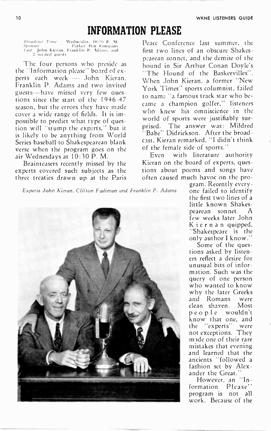## INFORMATION PLEASE

Broariers.%1 Time \ . 1. NI Sponsor Ink I l', o Cast John Kieran. Fi:ink hn I'. arid 2 in% led guest,

The four persons who preside as the Information please" board of experts each week — John Kieran, Franklin P. Adams and two invited guests- -have missed very few questions since the start of the 1946-47 season, but the errors they have made cover a wide range of fields. It is impossible to predict what type of question will "stump the experts," but it is likely to be anything from World Series baseball to Shakespearean blank verse when the program goes on the air Wednesdays at 10:30 P. M.

Brainteasers recently missed by the experts covered such subjects as the three treaties drawn up at the Paris

Peace Conference last summer, the first two lines of an obscure Shakespearean sonnet, and the demise of the hound in Sir Arthur Conan Doyle's "The Hound of the Baskervilles". When John Kieran, a former "New York Times" sports columnist, failed to name 'a famous track star who became a champion golfer," listeners who knew his omniscience in the world of sports were justifiably surprised. The answer was: Mildred Babe" Didrickson. After the broadcast, Kieran remarked, "I didn't think of the female side of sports.''

Even with literature authority Kieran on the board of experts, questions about poems and songs have often caused much havoc on the pro-

Experts John Kieran, Clifton Fadiman and Franklin P. Adams



gram. Recently everyone failed to identify the first two lines of a little known Shakespearean sonnet. A few weeks later John Kiernan quipped, "Shakespeare is the only author I know."

Some of the questions asked by listeners reflect a desire for unusual bits of information. Such was the query of one person who wanted to know why the later Greeks and Romans were clean shaven. Most people wouldn't know that one, and the "experts'' were not exceptions. They mide one of their rare mistakes that evening and learned that the ancients "followed a fashion set by Alexander the Great."

However, an "Information Please" program is not all work. Because of the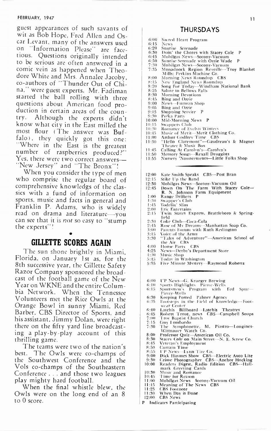#### FEBRUARY, 1947

guest appearances of such savants of wit as Bob Hope, Fred Allen and Oscar Levant, many of the answers used on "Information Please" are facetious. Questions originally intended to be serious are often answered in a comic vein as happened when Theodore White and Mrs. Annalee Jacoby, co-authors of "Thunder Out of China," were guest experts. Mr. Fadiman started the ball rolling with three questions about American food production in certain areas of the country. Although the experts didn't know what city in the East milled the most flour (The answer was Buffalo), they quickly got this one: "Where in the East is the greatest number of raspberries produced?" Yes, there were two correct answers— "New Jersey" and "The Bronx"!

When you consider the type of men who comprise the regular board of comprehensive knowledgs of the classics with a fund of information on sports, music and facts in general and Franklin P. Adams, who is widely read on drama and literature-you can see that it is *not* so easy to "stump the experts' ' '

### GILLETTE SCORES AGAIN

The sun shone brightly in Miami, Florida, on January 1st as, for the 8th successive year, the Gillette Safety Razor Company sponsored the broadcast of the football game of the New Year on W KNE and the entire Columbia Network. When the Tennessee Volunteers met the Rice Owls at the Orange Bowl in sunny Miami, Red Barber, CBS Director of Sports, and his assistant, Jimmy Dolan, were right there on the fifty yard line broadcasting a play-by-play account of this thrilling game.

The teams were two of the nation's best. The Owls were co-champs of the Southwest Conference and the Vols co-champs of the Southeastern Conference . . . and those two leagues play mighty hard football.

When the final whistle blew, the Owls were on the long end of an 8 to 0 score.

#### THURSDAYS

- 6:00 Sacred Heart Program
- 6:15 News
- 6:20 Sunrise Serenade
- 6:30 Doin' the Chores with Stacey Cole P 6:45 Mobilgas News —Socony-Vacuum
- 
- 6:50 Sunrise Serenade with Ozzie Wade<br>7:30 Mobilgas News—Socony-Vacuum<br>7:35 Monadnock Region Reveille—Tro 7:30 Mobilgas News —Socony-Vacuum
- 7:35 Monadnock Region Reveille —Troy Blanket Mills; Perkins Machine Co. 8:00 Morning News Roundup CBS
- 
- 
- 8:15 New England News Roundup<br>8:20 Song For Today—Windham N 8:20 Song For Today—Windham National Bank<br>8:25 Salute to Bellows Falls
- 8:25 Salute to Bellows Falls<br>8:30 Morning Devotions
- 8:30 Morning Devotions<br>8:45 Bing and Ozzie
- 8:45 Bing and Ozzie<br>9:00 News-Furman
- 9:00 News-Furman Shop<br>9:05 Bing and Ozzie
- 9:05 Bing and Ozzie<br>9:15 Shopping Servic
- 9:15 Shopping Service P<br>9:30 Polka Party
- -9:30 Polka Party<br>10:00 Mid-Mornii
- 10:00 Mid-Morning News P<br>10:15 Swappers Club
- 10:15 Swappers Club<br>10:30 Romance of Ev
- 10:30 Romance of Evelyn Winters<br>10:45 Music of Merit—Merit Clothing Co.<br>11:00 Arthur Godfrey Time CBS
- 
- 11:30 "Hello Claremont"—Gaudreau's & Magnet Theater & Music Box
- 
- 
- 11:45 Calling At Carolyn's—Carolyn's<br>11:50 Memory Songs—Rexall Druggists<br>11:55 Nursery 'Nouncements—Little Folks Shop
- 12:00 Kate Smith Speaks CBS-Post Bran
- 12:15 Stike Up the Band
- 12:30 Mobilgas News-Socony-Vacuum Oil<br>12:45 Down On The Farm With Stacev 12:45 Down On The Farm With Stacey Cole — R. N. Johnson Farm Equipment 1:00 Range Drifters P
- 
- 1:30 Swapper's Club
- Yodelin' Slim
- 2:00 Eric Entertains<br>2:15 Twin States E
- Twin States Express, Brattleboro & Springfield
- 
- 2:30 Coke Club—Coca-Cola<br>2:45 Rose of My Dreams—Manhattan Soap Co.<br>3:00 Parents Forum with Ruth Redington
- 
- 3:15 Voice of the Army 3:30 "Tales of Adventure" —American School of the Air CBS 4:00 House Party CBS
- 
- 
- 4:25 News—Derby's Department Store<br>4:30 Music Shop
- 4:30 Music Shop
- 5:45 Today in Washington<br>5:55 Five Minute Mystery-5:55 Five Minute Mystery —Raymond Roberts
- 
- 
- 6:00 UP News—G, Krueger Brewing<br>6:10 Sports Highlights— Pierce-Wells<br>6:15 Sportsmen's Program with Fed Spur— Pierce- Wells
- 6:30 Keeping Posted Palmer Agency<br>6:35 Footsteps in the Field of Knowledge—Footwear Center
	-
- 6:40 Latchis Billboard —Latchis Theatres 6:45 Robert Trout, news CBS —Campbell Soups 7:00 Troy Baptist Church
- 
- 
- 7:15 Guy lombardo 7:30 The Svmphonette, M. Piastro--Longines-Wittnatter Watch Co. 8:00 Professor Quiz —American Oil Co. 8:30 Stacey Cole on Main Street —N. E. Screw Co.
- 
- 
- 8:45 Veteran's Employment 8:50 Curtain Time
- 
- 
- 
- 8:55 III' News—Lynn Tire Co.<br>9:00 Dick Haymes Show CBS—Electric Auto Lite<br>9:30 Crime Photographer CBS—Anchor Hocking<br>10:00 Readers Digest, Radio Edition CBS—Hall-<br>mark Greeting Cards<br>10:30 Music and Romance
- 
- 
- 10:45 Time for Reason 1:00 Mobilgas News Socony-Vacuum Oil 1:15 Meaning of The News CBS
- 
- 11:25 CBS Footnote<br>11:30 When Day is
- When Day is Done
- 12:00 CBS News
- P Indicates Participating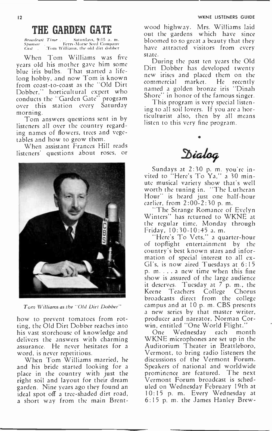# THE GARDEN GATE

Broadrasi Time Saturdays, 9:15 a. Sponsor . keirs -Morse Seed Company Casi Tom %Saban's, the old dirt dobber

When Tom Williams was five years old his mother gave him some blue iris bulbs. That started a lifelong hobby, and now Tom is known from coast-to-coast as the "Old Dirt Dobber," horticultural expert who conducts the "Garden Gate" program over this station every Saturday morning.

Tom answers questions sent in by listeners all over the country regarding names of flowers, trees and vegetables and how to grow them.

When assistant Frances Hill reads listeners' questions about roses, or



Tom Williams as the "Old Dirt Dobber"

how to prevent tomatoes from rotting, the Old Dirt Dobber reaches into his vast storehouse of knowledge and delivers the answers with charming assurance. He never hesitates for a word, is never repetitious.

When Tom Williams married, he and his bride started looking for a place in the country with just the right soil and layout for their dream garden. Nine years ago they found an ideal spot of a tree-shaded dirt road, a short way from the main Brent-

wood highway. Mrs. Williams laid out the gardens which have since bloomed to so great a beauty that they have attracted visitors from every state.

During the past ten years the Old Dirt Dobber has developed twenty new irises and placed them on the<br>commercial market. He recently commercial market. named a golden bronze iris "Dinah Shore in honor of the famous singer.

This program is very special listening to all soil lovers. If you are a horticulturist also, then by all means listen to this very fine program.

 $\Delta$ ialog

•

Sundays at 2:30 p. m. you're invited to "Here's To Ya," a 30 minute musical variety show that's well worth the tuning in. "The Lutheran Hour" is heard just one half-hour earlier, from 2:00-2:30 p. m.

"The Strange Romance of Evelyn Winters" has returned to WKNE at the regular time, Monday through Friday, 10:30-10:45 a. m.

'Here's To Vets," a quarter-hour of topflight entertainment by the country's best known stars and information of special interest to all ex-GI's, is now aired Tuesdays at 6:15 p. m. . . . a new time when this fine show is assured of the large audience it deserves. Tuesday at  $7^{6}$ p. m., the Keene Teachers College Chorus broadcasts direct from the college campus and at 10 p. m. CBS presents a new series by that master writer, producer and narrator, Norman Corwin, entitled "One World Flight."

One Wednesday each month WKNE microphones are set up in the Auditorium Theater in Brattleboro, Vermont, to bring radio listeners the discussions of the Vermont Forum. Speakers of national and worldwide prominence are featured. The next Vermont Forum broadcast is scheduled on Wednesday February 19th at 10:15 p. m. Every Wednesday at 6:15 p. m. the James Hanley Brew-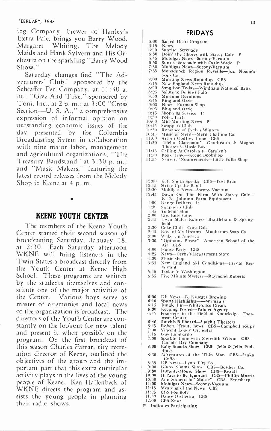#### FEBRUARY, 1947

ing Company, brewer of Hanley's Extra Pale, brings you Barry Wood, Margaret Whiting, The Melody Maids and Hank Sylvern and His Orchestra on the sparkling "Barry Wood Show."

Saturday changes find "The Adventurers' Club," sponsored by the Scheaffer Pen Company, at 11:30 a. m.: "Give And Take," sponsored by Toni, Inc., at 2 p. m.; at 3:00 "Cross Section---- U. S. A.," a comprehensive expression of informal opinion on outstanding economic issues of the day presented by the Columbia Broadcasting Sytem in collaboration with nine major labor, management and agricultural organizations; "The Treasury Bandstand" at 3:30 p. m.; and "Music Makers," featuring the latest record releases from the Melody Shop in Keene at 4 p. m.

#### •

### KEENE YOUTH CENTER

The members of the Keene Youth Center started their second season of broadcasting Saturday, January 18, at 2:30. Each Saturday afternoon WKNE will bring listeners in the Twin States a broadcast directly from the Youth Center at Keene High School. These programs are written by the students themselves and constitute one of the major activities of the Center. Various boys serve as master of ceremonies and local news of the organization is broadcast. The directors of the Youth Center are constantly on the lookout for new talent and present it when possible on the program. On the first broadcast of this season Charles Farrar, city recreation director of Keene, outlined the objectives of the group and the important part that this extra curricular activity plays in the lives of the young people of Keene. Ken Hallenbeck of WKNE directs the program and assists the young people in planning their radio shows.

#### FRIDAYS

- 6:00 Sacred Heart Program<br>6:15 News 6:15 News
- 6:20 Sunrise Serenade 6:30 Doin' the Chores with Stacey Cole P<br>6:45 Mobileas News-Socony-Vacuum
- 6:45 Mobilgas News-Socony-Vacuum<br>6:50 Sunrise Serenade with Ozzie Wac
- 6:50 Sunrise Serenade with Ozzie Wade P 7:30 Mobilgas News —Socony-Vacuum
- 1.30 Mobilgas News—Socony-Vacuum<br>7:30 Mobilgas News—Socony-Vacuum<br>7:35 Monadnock Region Reveille—Jos. Noone's
- Sons Co.
- 8:00 Morning News Roundup CBS
- 8:15 New England News Roundup 8:20 Song For Today Windham National Bank
- 8:25 Salute to Bellows Falls<br>8:30 Morning Devotions
- 8:30 Morning Devotions<br>8:45 Bing and Ozzie
- 8:45 Bing and Ozzie<br>9:00 News-Eurman
- 9:00 News-Furman Shop<br>9:05 Bing and Ozzie
- 
- 9:05 Bing and Ozzie<br>9:15 Shopping Servi 9:15 Shopping Service P<br>9:30 Polka Party
- 
- 9:30 Polka Party 10:00 Mid-Morning News P
- 10:15 Swappers Club<br>10:30 Romance of Ey
- 
- 10:30 Romance of Evelyn Winters<br>10:45 Music of Merit—Merit Clothing Co.<br>11:00 Arthur Godfrey Time CBS<br>11:30 "Hello -Claremont"—Gaudreau's & Magnet
- 
- 
- Theater gi Music Box 1:45 Calling At Carolyn's —Carolyn's
- 
- 11:50 Book Time-Keene Bookshop<br>11:55 Nursery 'Nouncements-Little Nursery 'Nouncements-Little Folks Shop
- 12:00 Kate Smith Speaks CBS-Post Bran<br>12:15 Strike Up the Band
- 12:15 Strike Up the Band<br>12:30 Mobilgas News-Soo
- 12:30 Mobilgas News-Socony Vacuum<br>12:45 Down On The Farm With St
- 12:45 Down On The Farm With Stacey Cole R. N. Johnson Farm Equipment 1:00 Range Drifters P
- 
- 1:30 Swapper's Club<br>1:45 Yodelin' Slim
- 
- 2:00 Eric Entertain<br>2:15 Twin States I Twin States Express, Brattleboro & Springfield
- 
- 2:30 Coke Club-Coca-Cola<br>2:45 Rose of My Dreams---N 2:45 Rose of My Dreams—Manhattan Soap Co.<br>3:00 Wake Up America
- 
- 3:09 Wake Up America 3:30 "Opinion. Please" —American School of the Air CBS
- 4:00 House Party CBS<br>4:25 News--Derby's Dep
- 4:25 News--Derby's Department Store<br>4:30 Music Shop
- 4:30 Music Shop
- 5:35 New England Ski Conditions —Crystal Restaurant
- 5:45 Today in Washington<br>5:55 Five Minute Mystery-
- 5:55 Five Minute Mystery —Raymond Roberts
- 6:00 UP News-G. Krueger Brewing<br>6:10 Sports Highlights-Wyman's
- 
- 
- 6:10 Sports Highlights——Wyman's<br>6:15 Jungle Jim—White's Ice Cream<br>6:30 Keeping Posted—Palmer Agency<br>6:35 Footsteps in the Field of Knowledge—Foot-
- wear Center
- 6:40 Latchis Billboard—Latchis Theaters<br>6:45 Robert Trout, news CBS—Camph
- 6:45 Robert Trout, news CBS —Campbell Soups 7:00 Vincent Lopez' Orchestra
- 
- 
- 7:15 Guy Lombardo<br>7:30 Sparkle Time with Meredith Wilson CBS—<br>- Canada Dry Company<br>8:00 Baby Snooks Show CBS—Jello & Jello Puddings
- 8:30 Adventures of the Thin Man CBS-Sanka
- 
- 
- 
- Coffee<br>
8:55 UP News—Lynn Tire Co.<br>
9:00 Ginny Simms Show CBS—Borden Co.<br>
9:30 Durante-Moore Show CBS—Rexall<br>
10:00 It Pays to Be Ignorant CBS—Phillip Morris<br>
10:30 Ann Sothern in "Maisie" CBS—Fversharp
- 
- 11:00 Mobilgas News-Socony-Vacuum<br>11:15 Meaning of the News CBS 11:15 Meaning of the News<br>11:25 CBS Footnote
- 
- 11:25 CBS Footnote<br>11:30 Dance Orches 1:30 Dance Orchestra CBS 12:00 CBS News
- 
- P Indicates Participating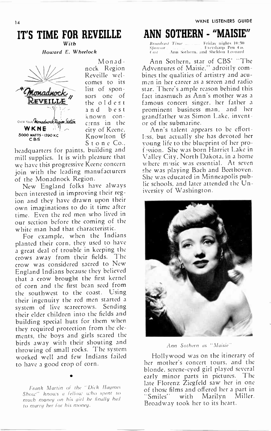### IT'S TIME FOR REVEILLE With

Howard E. Wheelock



Monadneck Region Reveille welcomes to its list of sponsors one of the oldest and best known concerns in the city of Keene, Knowlton 8 Stone Co.,

headquarters for paints, building and mill supplies. It is with pleasure that we have this progressive Keene concern join with the leading manufacturers of the Monadnock Region.

New England folks have always been interested in improving their region and they have drawn upon their own imaginations to do it time after time. Even the red men who lived in our section before the coming of the white man had that characteristic.

For example, when the Indians planted their corn, they used to have a great deal of trouble in keeping the crows away from their fields. The crow was considered sacred to New England Indians because they believed that a crow brought the first kernel of corn and the first bean seed from the southwest to the coast. Using their ingenuity the red men started a system of live scarecrows. Sending their elder children into the fields and building special huts for them when they required protection from the elements, the boys and girls scared the birds away with their shouting and throwing of small rocks. The system worked well and few Indians failed to have a good crop of corn.

Frank Martin of the Dick Haymes Show" knows a fellow who spent so much money on his girl he finally had to marry her for his money.

•

# ANN SOTHERN - "MAISIE"

Broad, ei / ri me Friday nights 10:;tii Spore,. Eversharp Pen Co. Ann Sothern, and Sheldon Leonard

Ann Sothern, star of CBS' "The Adventures of Maisie," adroitly combines the qualities of artistry and acumen in her career as a screen and radio star. There's ample reason behind this fact inasmuch as Ann's mother was a famous concert singer, her father a prominent business man, and her grandfather was Simon Lake, inventor of the submarine.

Ann's talent appears to be efortless, but actually she has devoted her young life to the blueprint of her prof .ssion. She was born Harriet Lake in Valley City, North Dakota, in a home where m•isic was essential. At seven she was playing Bach and Beethoven. She was educated in Minneapolis public schools, and later attended the University of Washington.



Ann Sothern as "Maisie"

Hollywood was on the itinerary of her mother's concert tours, and the blonde, serene-eyed girl played several early minor parts in pictures. The late Florenz Ziegfeld saw her in one of those films and offered her a part in<br>"Smiles" with Marilyn Miller. "Smiles" with Marilyn Broadway took her to its heart.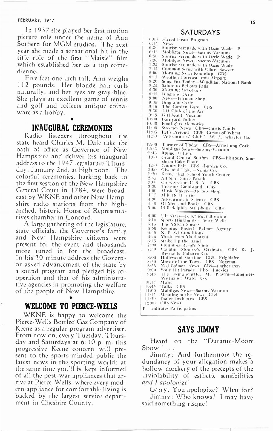#### FEBRUARY, 1947

In 1937 she played her first motion picture role under the name of Ann Sothern for MGM studios. The next year she made a sensational hit in the title role of the first "Maisie" film which established her as a top comedienne.

Five feet one inch tall, Ann weighs 12 pounds. Her blonde hair curls naturally, and her eyes are gray-blue. She plays an excellent game of tennis and golf and collects antique chinaware as a hobby.

#### • INAUGURAL CEREMONIES

Radio listeners throughout the state heard Charles M. Dale take the oath of ofice as Governor of New Hampshire and deliver his inaugural address to the 1947 legislature Thursday, January 2nd, at high noon. The colorful ceremonies, harking back to the first session of the New Hampshire General Court in 1784, were broadcast by WKNE and other New Hampshire radio stations from the higharched, historic House of Representatives chamber in Concord.

A large gathering of the legislature. state oficials, the Governor's family and New Hampshire citizens were present for the event and thousands more tuned in for the broadcast. In his 30 minute address the Governor asked advancement of the state by a sound program and pledged his cooperaion and that of his administrative agencies in promoting the welfare of the people of New Hampshire.

### WELCOME TO PIERCE-WELLS

WKNE is happy to welcome the Pierce- Wells Bottled Gas Company of Keene as a regular program advertiser. From now on, every Tuesday, Thursday and Saturdays at 6:10 p. m. this progressive Keene concern will present to the sports-minded public the latest news in the sporting world: at the same time you'll be kept informed of all the post-war appliances that arrive at Pierce- Wells, where every modern appliance for comfortable living is backed by the largest service department in Cheshire County.

#### SATURDAYS

6.00 Sacred Heart Program<br>6:15 News 6:15 News<br>6:20 Sunri 6:20 Sunrise Serenade with Ozzie Wade P 6:45 Mobilgas News-Socony-Vacuum<br>6:50 Sunrise Serenade with Ozzie Wad 6:50 Sunrise Serenade with Ozzie Wade P 7:30 Mobilgas News-Socony-Vacuum<br>7:35 Sunrise Serenade with Ozzie Wad 7:35 Sunrise Serenade with Ozzie Wade 7:45 Common Sense with Officer Sawyer 8:00 Morning News Roundup CBS<br>8:15 Weather Forecast from Airport 8:15 Weather Forecast from Airport 8:20 Song For Today—Windham National Bank<br>8:25 Salute to Bellows Falls 8:25 Salute to Bellows Falls<br>8:30 Morning Devotions 8:30 Morning Devotions 8:45 Bing and Ozzie 9:00 News-Furman Shop<br>9:05 Bing and Ozie  $\frac{9:05}{9:15}$  Bing and Ozzie 9:15 The Garden Gate CBS 9:30 4-11 Club of the Air 9:45 Girl Scout Program<br>10:00 Barnvard Follies 10:00 Barnyard Follies<br>10:30 Footlights Mone 10:30 Footlights Memories 11:00 Sweeney News - CBS—Curtis Candy<br>11:05 - Let's Pretend - CBS—Cream of Wheat<br>11:30 - ''Adventurers' Club''—W. A. Schaefer Co. 12:00 Theatre of Today CBS—Armstrong Cork<br>12:30 Mobilgas News—Socony-Vacuum<br>12:45 Range Drifters Mobilgas News-Socony-Vacuum 12:15 Range Drifters 1:00 Grand Central Station CBS —Pillsbury Snosheen Cake Flour 130 County Fair CBS —Borden Co. 2:00 Give and Take — Noma Co.<br>2:30 Keene High School Youth 2:30 Keene High School Youth Center<br>2:45 All Star Dance Parade 2:45 : All Star Dance Parade<br>3:00 : Cross Section-U. S. A. - CBS<br>3:30 : Treasury Bandstand - CBS 4:00 Music Makers—Melody Shop<br>4:15 Milt Herth Trio 4:15 - Milt Herth, Frio<br>4:30 - Adventures in Sc 4:30 Adventures in Science CBS<br>3:45 Of Man and Books CBS 4:45 Of Men and Books CBS<br>5:00 Philadelphia Symphone Philadelphia Symphony CBS 6:00 UP News —G. Krueger Brewing 6:10 Sports Highlights- Pierre- Wells 6:15 The YMCA Speaks<br>6:50 Keeping Posted --1 6:50 Keeping Posted —Palmer Agency<br>6:35 N. E. Ski Conditions 6:35 N. E. Ski Conditions<br>6:40 Music from Manbatt 6:40 Music from Manhattan<br>6:45 Strike Up the Band<br>7:00 Columbia Record Shop<br>7:30 Vaughn Monroe's O 6:45 – Strike Up the Band<br>7:30 – Columbia Record Shop<br>7:30 – Vaughn – Monroe's – Orchestra – CBS—R. – J.<br>8:00 – Hollywood Startine – CBS—Frigidaire<br>8:30 – Hollywood Startine – CBS—Noxema<br>8:55 – Ned Calmer, News – CBS—Narke 9:00 - Your Hit Parade - CBS—Luckies<br>9:45 - The - Symphonette. - M. - Piastro---L<mark>ongines-</mark><br>- Wittnauer Watch Co. 10:15 Music<br>10:45 Talks 0:45 Talks CBS 1:00 Mobilgas News —Socony-Vactium 1:15 Meaning of the News CBS 1:30 Dance Orchestra CBS 2:00 CBS News

P Indicates Participating

### SAYS JIMMY

Heard on the "Durante-Moore" Show"...

Jimmy: And furthermore the redundancy of your allegation makes a hollow mockery of the precepts of the inviolability of esthetic sensibilities and I apologize!

Garry: You apologize? What for? Jimmy: Who knows? I may have said something risque!